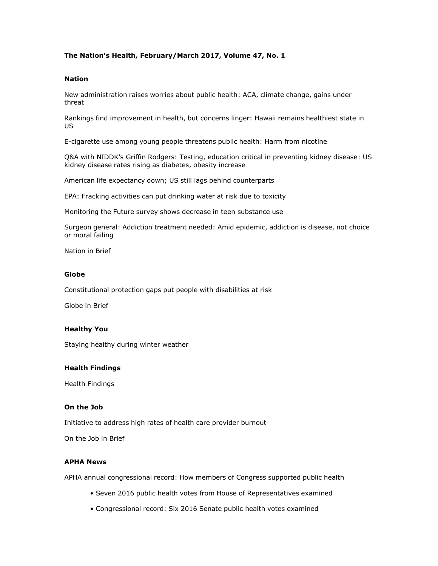# **The Nation's Health, February/March 2017, Volume 47, No. 1**

### **Nation**

New administration raises worries about public health: ACA, climate change, gains under threat

Rankings find improvement in health, but concerns linger: Hawaii remains healthiest state in US

E-cigarette use among young people threatens public health: Harm from nicotine

Q&A with NIDDK's Griffin Rodgers: Testing, education critical in preventing kidney disease: US kidney disease rates rising as diabetes, obesity increase

American life expectancy down; US still lags behind counterparts

EPA: Fracking activities can put drinking water at risk due to toxicity

Monitoring the Future survey shows decrease in teen substance use

Surgeon general: Addiction treatment needed: Amid epidemic, addiction is disease, not choice or moral failing

Nation in Brief

#### **Globe**

Constitutional protection gaps put people with disabilities at risk

Globe in Brief

#### **Healthy You**

Staying healthy during winter weather

#### **Health Findings**

Health Findings

#### **On the Job**

Initiative to address high rates of health care provider burnout

On the Job in Brief

#### **APHA News**

APHA annual congressional record: How members of Congress supported public health

- Seven 2016 public health votes from House of Representatives examined
- Congressional record: Six 2016 Senate public health votes examined